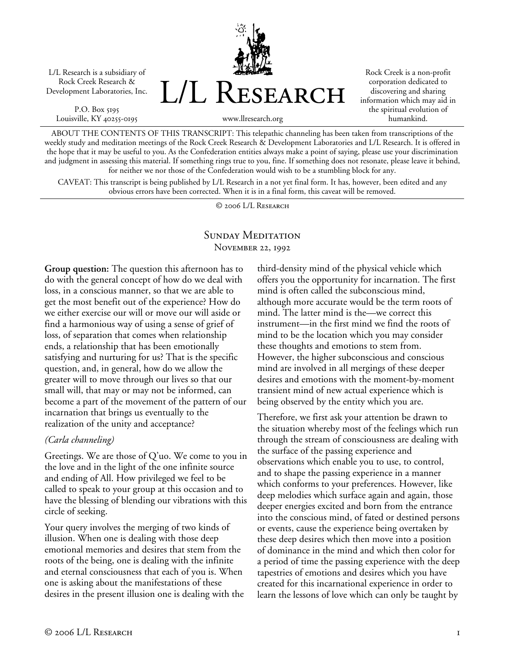L/L Research is a subsidiary of Rock Creek Research & Development Laboratories, Inc.

P.O. Box 5195 Louisville, KY 40255-0195



Rock Creek is a non-profit corporation dedicated to discovering and sharing information which may aid in the spiritual evolution of humankind.

www.llresearch.org

ABOUT THE CONTENTS OF THIS TRANSCRIPT: This telepathic channeling has been taken from transcriptions of the weekly study and meditation meetings of the Rock Creek Research & Development Laboratories and L/L Research. It is offered in the hope that it may be useful to you. As the Confederation entities always make a point of saying, please use your discrimination and judgment in assessing this material. If something rings true to you, fine. If something does not resonate, please leave it behind, for neither we nor those of the Confederation would wish to be a stumbling block for any.

CAVEAT: This transcript is being published by L/L Research in a not yet final form. It has, however, been edited and any obvious errors have been corrected. When it is in a final form, this caveat will be removed.

© 2006 L/L Research

# SUNDAY MEDITATION November 22, 1992

**Group question:** The question this afternoon has to do with the general concept of how do we deal with loss, in a conscious manner, so that we are able to get the most benefit out of the experience? How do we either exercise our will or move our will aside or find a harmonious way of using a sense of grief of loss, of separation that comes when relationship ends, a relationship that has been emotionally satisfying and nurturing for us? That is the specific question, and, in general, how do we allow the greater will to move through our lives so that our small will, that may or may not be informed, can become a part of the movement of the pattern of our incarnation that brings us eventually to the realization of the unity and acceptance?

### *(Carla channeling)*

Greetings. We are those of Q'uo. We come to you in the love and in the light of the one infinite source and ending of All. How privileged we feel to be called to speak to your group at this occasion and to have the blessing of blending our vibrations with this circle of seeking.

Your query involves the merging of two kinds of illusion. When one is dealing with those deep emotional memories and desires that stem from the roots of the being, one is dealing with the infinite and eternal consciousness that each of you is. When one is asking about the manifestations of these desires in the present illusion one is dealing with the third-density mind of the physical vehicle which offers you the opportunity for incarnation. The first mind is often called the subconscious mind, although more accurate would be the term roots of mind. The latter mind is the—we correct this instrument—in the first mind we find the roots of mind to be the location which you may consider these thoughts and emotions to stem from. However, the higher subconscious and conscious mind are involved in all mergings of these deeper desires and emotions with the moment-by-moment transient mind of new actual experience which is being observed by the entity which you are.

Therefore, we first ask your attention be drawn to the situation whereby most of the feelings which run through the stream of consciousness are dealing with the surface of the passing experience and observations which enable you to use, to control, and to shape the passing experience in a manner which conforms to your preferences. However, like deep melodies which surface again and again, those deeper energies excited and born from the entrance into the conscious mind, of fated or destined persons or events, cause the experience being overtaken by these deep desires which then move into a position of dominance in the mind and which then color for a period of time the passing experience with the deep tapestries of emotions and desires which you have created for this incarnational experience in order to learn the lessons of love which can only be taught by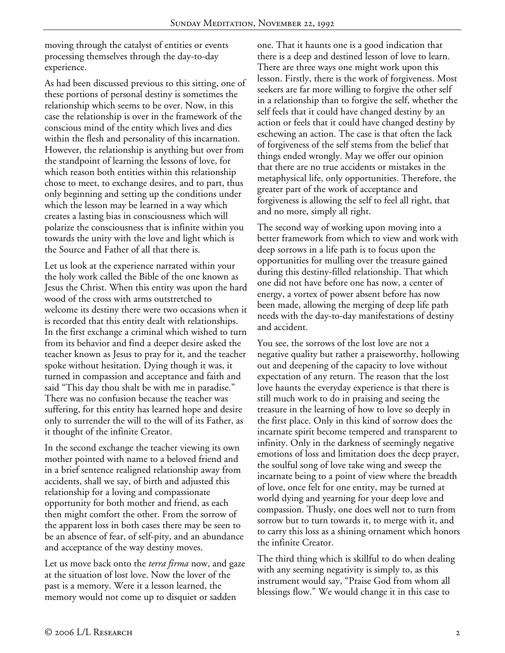moving through the catalyst of entities or events processing themselves through the day-to-day experience.

As had been discussed previous to this sitting, one of these portions of personal destiny is sometimes the relationship which seems to be over. Now, in this case the relationship is over in the framework of the conscious mind of the entity which lives and dies within the flesh and personality of this incarnation. However, the relationship is anything but over from the standpoint of learning the lessons of love, for which reason both entities within this relationship chose to meet, to exchange desires, and to part, thus only beginning and setting up the conditions under which the lesson may be learned in a way which creates a lasting bias in consciousness which will polarize the consciousness that is infinite within you towards the unity with the love and light which is the Source and Father of all that there is.

Let us look at the experience narrated within your the holy work called the Bible of the one known as Jesus the Christ. When this entity was upon the hard wood of the cross with arms outstretched to welcome its destiny there were two occasions when it is recorded that this entity dealt with relationships. In the first exchange a criminal which wished to turn from its behavior and find a deeper desire asked the teacher known as Jesus to pray for it, and the teacher spoke without hesitation. Dying though it was, it turned in compassion and acceptance and faith and said "This day thou shalt be with me in paradise." There was no confusion because the teacher was suffering, for this entity has learned hope and desire only to surrender the will to the will of its Father, as it thought of the infinite Creator.

In the second exchange the teacher viewing its own mother pointed with name to a beloved friend and in a brief sentence realigned relationship away from accidents, shall we say, of birth and adjusted this relationship for a loving and compassionate opportunity for both mother and friend, as each then might comfort the other. From the sorrow of the apparent loss in both cases there may be seen to be an absence of fear, of self-pity, and an abundance and acceptance of the way destiny moves.

Let us move back onto the *terra firma* now, and gaze at the situation of lost love. Now the lover of the past is a memory. Were it a lesson learned, the memory would not come up to disquiet or sadden

one. That it haunts one is a good indication that there is a deep and destined lesson of love to learn. There are three ways one might work upon this lesson. Firstly, there is the work of forgiveness. Most seekers are far more willing to forgive the other self in a relationship than to forgive the self, whether the self feels that it could have changed destiny by an action or feels that it could have changed destiny by eschewing an action. The case is that often the lack of forgiveness of the self stems from the belief that things ended wrongly. May we offer our opinion that there are no true accidents or mistakes in the metaphysical life, only opportunities. Therefore, the greater part of the work of acceptance and forgiveness is allowing the self to feel all right, that and no more, simply all right.

The second way of working upon moving into a better framework from which to view and work with deep sorrows in a life path is to focus upon the opportunities for mulling over the treasure gained during this destiny-filled relationship. That which one did not have before one has now, a center of energy, a vortex of power absent before has now been made, allowing the merging of deep life path needs with the day-to-day manifestations of destiny and accident.

You see, the sorrows of the lost love are not a negative quality but rather a praiseworthy, hollowing out and deepening of the capacity to love without expectation of any return. The reason that the lost love haunts the everyday experience is that there is still much work to do in praising and seeing the treasure in the learning of how to love so deeply in the first place. Only in this kind of sorrow does the incarnate spirit become tempered and transparent to infinity. Only in the darkness of seemingly negative emotions of loss and limitation does the deep prayer, the soulful song of love take wing and sweep the incarnate being to a point of view where the breadth of love, once felt for one entity, may be turned at world dying and yearning for your deep love and compassion. Thusly, one does well not to turn from sorrow but to turn towards it, to merge with it, and to carry this loss as a shining ornament which honors the infinite Creator.

The third thing which is skillful to do when dealing with any seeming negativity is simply to, as this instrument would say, "Praise God from whom all blessings flow." We would change it in this case to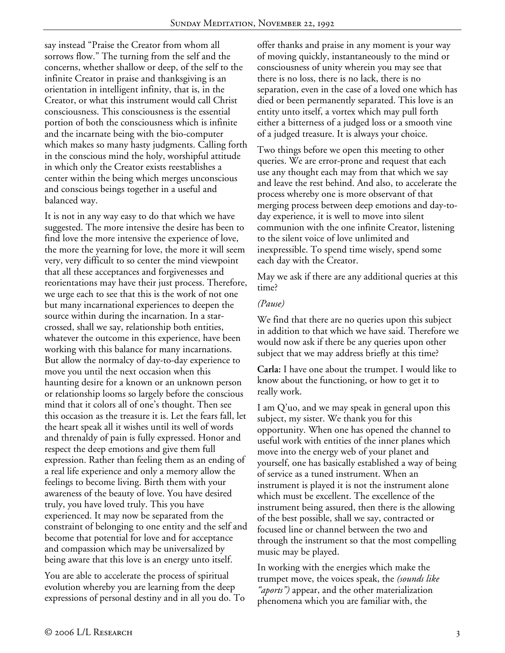say instead "Praise the Creator from whom all sorrows flow." The turning from the self and the concerns, whether shallow or deep, of the self to the infinite Creator in praise and thanksgiving is an orientation in intelligent infinity, that is, in the Creator, or what this instrument would call Christ consciousness. This consciousness is the essential portion of both the consciousness which is infinite and the incarnate being with the bio-computer which makes so many hasty judgments. Calling forth in the conscious mind the holy, worshipful attitude in which only the Creator exists reestablishes a center within the being which merges unconscious and conscious beings together in a useful and balanced way.

It is not in any way easy to do that which we have suggested. The more intensive the desire has been to find love the more intensive the experience of love, the more the yearning for love, the more it will seem very, very difficult to so center the mind viewpoint that all these acceptances and forgivenesses and reorientations may have their just process. Therefore, we urge each to see that this is the work of not one but many incarnational experiences to deepen the source within during the incarnation. In a starcrossed, shall we say, relationship both entities, whatever the outcome in this experience, have been working with this balance for many incarnations. But allow the normalcy of day-to-day experience to move you until the next occasion when this haunting desire for a known or an unknown person or relationship looms so largely before the conscious mind that it colors all of one's thought. Then see this occasion as the treasure it is. Let the fears fall, let the heart speak all it wishes until its well of words and threnaldy of pain is fully expressed. Honor and respect the deep emotions and give them full expression. Rather than feeling them as an ending of a real life experience and only a memory allow the feelings to become living. Birth them with your awareness of the beauty of love. You have desired truly, you have loved truly. This you have experienced. It may now be separated from the constraint of belonging to one entity and the self and become that potential for love and for acceptance and compassion which may be universalized by being aware that this love is an energy unto itself.

You are able to accelerate the process of spiritual evolution whereby you are learning from the deep expressions of personal destiny and in all you do. To offer thanks and praise in any moment is your way of moving quickly, instantaneously to the mind or consciousness of unity wherein you may see that there is no loss, there is no lack, there is no separation, even in the case of a loved one which has died or been permanently separated. This love is an entity unto itself, a vortex which may pull forth either a bitterness of a judged loss or a smooth vine of a judged treasure. It is always your choice.

Two things before we open this meeting to other queries. We are error-prone and request that each use any thought each may from that which we say and leave the rest behind. And also, to accelerate the process whereby one is more observant of that merging process between deep emotions and day-today experience, it is well to move into silent communion with the one infinite Creator, listening to the silent voice of love unlimited and inexpressible. To spend time wisely, spend some each day with the Creator.

May we ask if there are any additional queries at this time?

## *(Pause)*

We find that there are no queries upon this subject in addition to that which we have said. Therefore we would now ask if there be any queries upon other subject that we may address briefly at this time?

**Carla:** I have one about the trumpet. I would like to know about the functioning, or how to get it to really work.

I am Q'uo, and we may speak in general upon this subject, my sister. We thank you for this opportunity. When one has opened the channel to useful work with entities of the inner planes which move into the energy web of your planet and yourself, one has basically established a way of being of service as a tuned instrument. When an instrument is played it is not the instrument alone which must be excellent. The excellence of the instrument being assured, then there is the allowing of the best possible, shall we say, contracted or focused line or channel between the two and through the instrument so that the most compelling music may be played.

In working with the energies which make the trumpet move, the voices speak, the *(sounds like "aports")* appear, and the other materialization phenomena which you are familiar with, the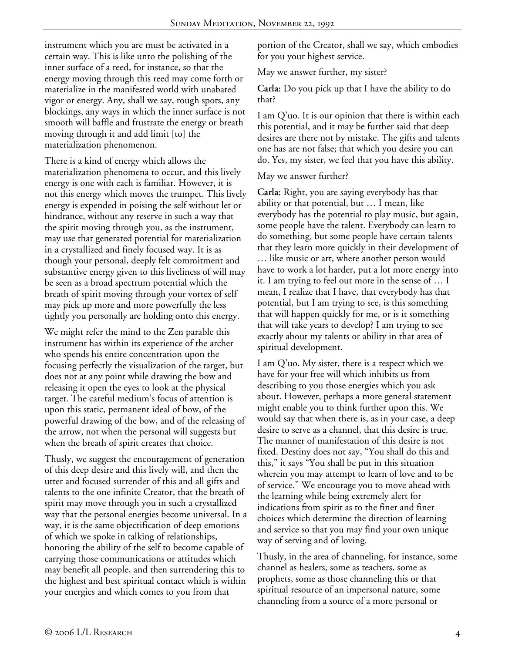instrument which you are must be activated in a certain way. This is like unto the polishing of the inner surface of a reed, for instance, so that the energy moving through this reed may come forth or materialize in the manifested world with unabated vigor or energy. Any, shall we say, rough spots, any blockings, any ways in which the inner surface is not smooth will baffle and frustrate the energy or breath moving through it and add limit [to] the materialization phenomenon.

There is a kind of energy which allows the materialization phenomena to occur, and this lively energy is one with each is familiar. However, it is not this energy which moves the trumpet. This lively energy is expended in poising the self without let or hindrance, without any reserve in such a way that the spirit moving through you, as the instrument, may use that generated potential for materialization in a crystallized and finely focused way. It is as though your personal, deeply felt commitment and substantive energy given to this liveliness of will may be seen as a broad spectrum potential which the breath of spirit moving through your vortex of self may pick up more and more powerfully the less tightly you personally are holding onto this energy.

We might refer the mind to the Zen parable this instrument has within its experience of the archer who spends his entire concentration upon the focusing perfectly the visualization of the target, but does not at any point while drawing the bow and releasing it open the eyes to look at the physical target. The careful medium's focus of attention is upon this static, permanent ideal of bow, of the powerful drawing of the bow, and of the releasing of the arrow, not when the personal will suggests but when the breath of spirit creates that choice.

Thusly, we suggest the encouragement of generation of this deep desire and this lively will, and then the utter and focused surrender of this and all gifts and talents to the one infinite Creator, that the breath of spirit may move through you in such a crystallized way that the personal energies become universal. In a way, it is the same objectification of deep emotions of which we spoke in talking of relationships, honoring the ability of the self to become capable of carrying those communications or attitudes which may benefit all people, and then surrendering this to the highest and best spiritual contact which is within your energies and which comes to you from that

portion of the Creator, shall we say, which embodies for you your highest service.

May we answer further, my sister?

**Carla:** Do you pick up that I have the ability to do that?

I am Q'uo. It is our opinion that there is within each this potential, and it may be further said that deep desires are there not by mistake. The gifts and talents one has are not false; that which you desire you can do. Yes, my sister, we feel that you have this ability.

## May we answer further?

**Carla:** Right, you are saying everybody has that ability or that potential, but … I mean, like everybody has the potential to play music, but again, some people have the talent. Everybody can learn to do something, but some people have certain talents that they learn more quickly in their development of … like music or art, where another person would have to work a lot harder, put a lot more energy into it. I am trying to feel out more in the sense of … I mean, I realize that I have, that everybody has that potential, but I am trying to see, is this something that will happen quickly for me, or is it something that will take years to develop? I am trying to see exactly about my talents or ability in that area of spiritual development.

I am Q'uo. My sister, there is a respect which we have for your free will which inhibits us from describing to you those energies which you ask about. However, perhaps a more general statement might enable you to think further upon this. We would say that when there is, as in your case, a deep desire to serve as a channel, that this desire is true. The manner of manifestation of this desire is not fixed. Destiny does not say, "You shall do this and this," it says "You shall be put in this situation wherein you may attempt to learn of love and to be of service." We encourage you to move ahead with the learning while being extremely alert for indications from spirit as to the finer and finer choices which determine the direction of learning and service so that you may find your own unique way of serving and of loving.

Thusly, in the area of channeling, for instance, some channel as healers, some as teachers, some as prophets, some as those channeling this or that spiritual resource of an impersonal nature, some channeling from a source of a more personal or